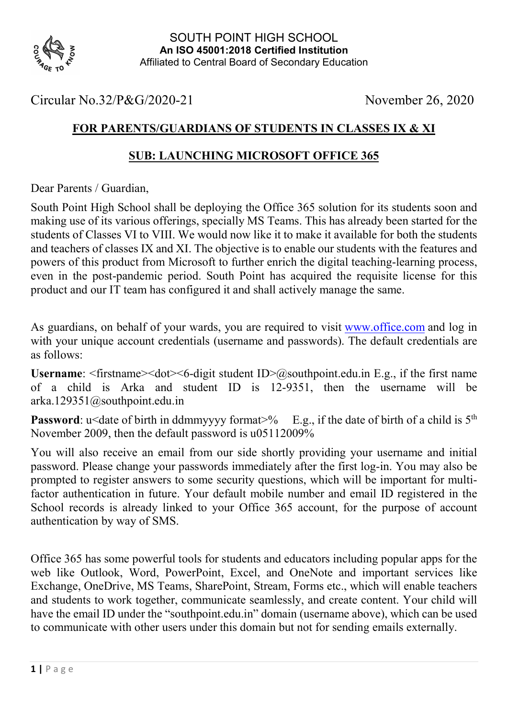

## Circular No.32/P&G/2020-21 November 26, 2020

## FOR PARENTS/GUARDIANS OF STUDENTS IN CLASSES IX & XI

## SUB: LAUNCHING MICROSOFT OFFICE 365

Dear Parents / Guardian,

South Point High School shall be deploying the Office 365 solution for its students soon and making use of its various offerings, specially MS Teams. This has already been started for the students of Classes VI to VIII. We would now like it to make it available for both the students and teachers of classes IX and XI. The objective is to enable our students with the features and powers of this product from Microsoft to further enrich the digital teaching-learning process, even in the post-pandemic period. South Point has acquired the requisite license for this product and our IT team has configured it and shall actively manage the same.

As guardians, on behalf of your wards, you are required to visit www.office.com and log in with your unique account credentials (username and passwords). The default credentials are as follows:

Username:  $\epsilon$ firstname $\epsilon$   $\leq$ dot $\epsilon$  $\leq$ 6-digit student ID $\geq$ @southpoint.edu.in E.g., if the first name of a child is Arka and student ID is 12-9351, then the username will be arka.129351@southpoint.edu.in

**Password:** u<date of birth in ddmmyyyy format>% E.g., if the date of birth of a child is  $5<sup>th</sup>$ November 2009, then the default password is u05112009%

You will also receive an email from our side shortly providing your username and initial password. Please change your passwords immediately after the first log-in. You may also be prompted to register answers to some security questions, which will be important for multifactor authentication in future. Your default mobile number and email ID registered in the School records is already linked to your Office 365 account, for the purpose of account authentication by way of SMS.

Office 365 has some powerful tools for students and educators including popular apps for the web like Outlook, Word, PowerPoint, Excel, and OneNote and important services like Exchange, OneDrive, MS Teams, SharePoint, Stream, Forms etc., which will enable teachers and students to work together, communicate seamlessly, and create content. Your child will have the email ID under the "southpoint.edu.in" domain (username above), which can be used to communicate with other users under this domain but not for sending emails externally.